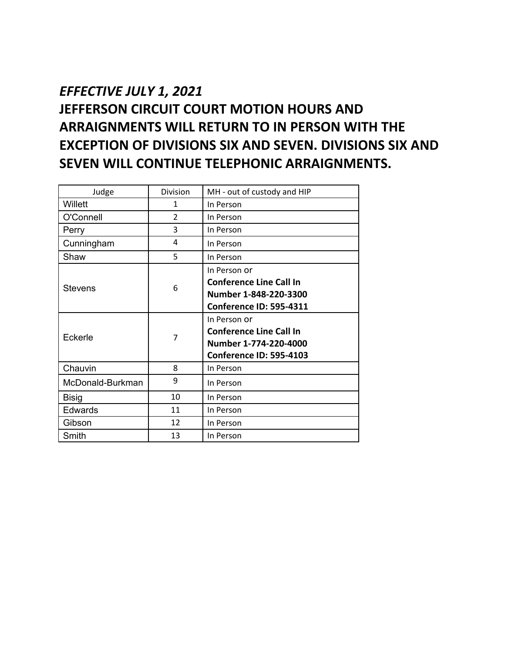## *EFFECTIVE JULY 1, 2021*  **JEFFERSON CIRCUIT COURT MOTION HOURS AND ARRAIGNMENTS WILL RETURN TO IN PERSON WITH THE EXCEPTION OF DIVISIONS SIX AND SEVEN. DIVISIONS SIX AND SEVEN WILL CONTINUE TELEPHONIC ARRAIGNMENTS.**

| Judge            | Division       | MH - out of custody and HIP                                                                               |
|------------------|----------------|-----------------------------------------------------------------------------------------------------------|
| Willett          | 1              | In Person                                                                                                 |
| O'Connell        | $\mathfrak{p}$ | In Person                                                                                                 |
| Perry            | 3              | In Person                                                                                                 |
| Cunningham       | 4              | In Person                                                                                                 |
| Shaw             | 5              | In Person                                                                                                 |
| Stevens          | 6              | In Person or<br><b>Conference Line Call In</b><br>Number 1-848-220-3300<br><b>Conference ID: 595-4311</b> |
| Eckerle          | 7              | In Person or<br><b>Conference Line Call In</b><br>Number 1-774-220-4000<br><b>Conference ID: 595-4103</b> |
| Chauvin          | 8              | In Person                                                                                                 |
| McDonald-Burkman | 9              | In Person                                                                                                 |
| <b>Bisig</b>     | 10             | In Person                                                                                                 |
| Edwards          | 11             | In Person                                                                                                 |
| Gibson           | 12             | In Person                                                                                                 |
| Smith            | 13             | In Person                                                                                                 |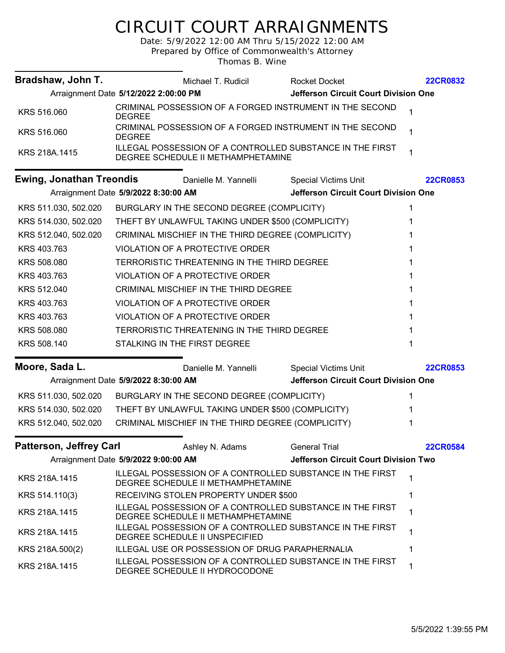## CIRCUIT COURT ARRAIGNMENTS

Date: 5/9/2022 12:00 AM Thru 5/15/2022 12:00 AM Prepared by Office of Commonwealth's Attorney

Thomas B. Wine

| Bradshaw, John T.               |                                       | Michael T. Rudicil                                              | <b>Rocket Docket</b>                                             | <b>22CR0832</b> |
|---------------------------------|---------------------------------------|-----------------------------------------------------------------|------------------------------------------------------------------|-----------------|
|                                 | Arraignment Date 5/12/2022 2:00:00 PM |                                                                 | Jefferson Circuit Court Division One                             |                 |
| KRS 516.060                     | <b>DEGREE</b>                         |                                                                 | CRIMINAL POSSESSION OF A FORGED INSTRUMENT IN THE SECOND         | 1               |
| KRS 516.060                     | <b>DEGREE</b>                         |                                                                 | CRIMINAL POSSESSION OF A FORGED INSTRUMENT IN THE SECOND         | 1               |
| KRS 218A.1415                   |                                       | DEGREE SCHEDULE II METHAMPHETAMINE                              | ILLEGAL POSSESSION OF A CONTROLLED SUBSTANCE IN THE FIRST        | 1               |
| <b>Ewing, Jonathan Treondis</b> |                                       | Danielle M. Yannelli                                            | <b>Special Victims Unit</b>                                      | <b>22CR0853</b> |
|                                 | Arraignment Date 5/9/2022 8:30:00 AM  |                                                                 | <b>Jefferson Circuit Court Division One</b>                      |                 |
| KRS 511.030, 502.020            |                                       | BURGLARY IN THE SECOND DEGREE (COMPLICITY)                      |                                                                  |                 |
| KRS 514.030, 502.020            |                                       | THEFT BY UNLAWFUL TAKING UNDER \$500 (COMPLICITY)               |                                                                  | 1               |
| KRS 512.040, 502.020            |                                       | CRIMINAL MISCHIEF IN THE THIRD DEGREE (COMPLICITY)              |                                                                  | 1               |
| KRS 403.763                     |                                       | VIOLATION OF A PROTECTIVE ORDER                                 |                                                                  |                 |
| KRS 508.080                     |                                       | TERRORISTIC THREATENING IN THE THIRD DEGREE                     |                                                                  | 1               |
| KRS 403.763                     |                                       | <b>VIOLATION OF A PROTECTIVE ORDER</b>                          |                                                                  |                 |
| KRS 512.040                     |                                       | CRIMINAL MISCHIEF IN THE THIRD DEGREE                           |                                                                  | 1               |
| KRS 403.763                     |                                       | VIOLATION OF A PROTECTIVE ORDER                                 |                                                                  | 1               |
| KRS 403.763                     |                                       | VIOLATION OF A PROTECTIVE ORDER                                 |                                                                  | 1               |
| KRS 508.080                     |                                       | TERRORISTIC THREATENING IN THE THIRD DEGREE                     |                                                                  |                 |
| KRS 508.140                     |                                       | STALKING IN THE FIRST DEGREE                                    |                                                                  | 1               |
| Moore, Sada L.                  |                                       | Danielle M. Yannelli                                            | <b>Special Victims Unit</b>                                      | <b>22CR0853</b> |
|                                 | Arraignment Date 5/9/2022 8:30:00 AM  |                                                                 | Jefferson Circuit Court Division One                             |                 |
|                                 |                                       | KRS 511.030, 502.020 BURGLARY IN THE SECOND DEGREE (COMPLICITY) |                                                                  | 1               |
| KRS 514.030, 502.020            |                                       | THEFT BY UNLAWFUL TAKING UNDER \$500 (COMPLICITY)               |                                                                  |                 |
| KRS 512.040, 502.020            |                                       | CRIMINAL MISCHIEF IN THE THIRD DEGREE (COMPLICITY)              |                                                                  | 1               |
|                                 |                                       |                                                                 |                                                                  |                 |
| <b>Patterson, Jeffrey Carl</b>  |                                       | Ashley N. Adams                                                 | <b>General Trial</b><br>Jefferson Circuit Court Division Two     | <b>22CR0584</b> |
|                                 | Arraignment Date 5/9/2022 9:00:00 AM  |                                                                 |                                                                  |                 |
| KRS 218A.1415                   |                                       | DEGREE SCHEDULE II METHAMPHETAMINE                              | ILLEGAL POSSESSION OF A CONTROLLED SUBSTANCE IN THE FIRST        | 1               |
| KRS 514.110(3)                  |                                       | RECEIVING STOLEN PROPERTY UNDER \$500                           |                                                                  | 1               |
| KRS 218A.1415                   |                                       | DEGREE SCHEDULE II METHAMPHETAMINE                              | ILLEGAL POSSESSION OF A CONTROLLED SUBSTANCE IN THE FIRST        | 1               |
| KRS 218A.1415                   |                                       | DEGREE SCHEDULE II UNSPECIFIED                                  | <b>ILLEGAL POSSESSION OF A CONTROLLED SUBSTANCE IN THE FIRST</b> | 1               |
| KRS 218A.500(2)                 |                                       | ILLEGAL USE OR POSSESSION OF DRUG PARAPHERNALIA                 |                                                                  | 1               |
| KRS 218A.1415                   |                                       | DEGREE SCHEDULE II HYDROCODONE                                  | ILLEGAL POSSESSION OF A CONTROLLED SUBSTANCE IN THE FIRST        | 1               |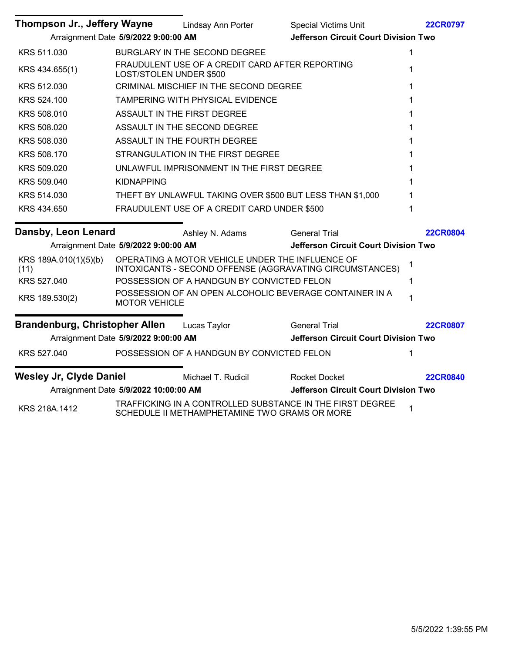| Thompson Jr., Jeffery Wayne    |                                       | Lindsay Ann Porter                               | <b>Special Victims Unit</b>                               | <b>22CR0797</b> |
|--------------------------------|---------------------------------------|--------------------------------------------------|-----------------------------------------------------------|-----------------|
|                                | Arraignment Date 5/9/2022 9:00:00 AM  |                                                  | <b>Jefferson Circuit Court Division Two</b>               |                 |
| KRS 511.030                    |                                       | BURGLARY IN THE SECOND DEGREE                    |                                                           | 1               |
| KRS 434.655(1)                 | LOST/STOLEN UNDER \$500               | FRAUDULENT USE OF A CREDIT CARD AFTER REPORTING  |                                                           | 1               |
| KRS 512.030                    |                                       | CRIMINAL MISCHIEF IN THE SECOND DEGREE           |                                                           | 1               |
| KRS 524.100                    |                                       | TAMPERING WITH PHYSICAL EVIDENCE                 |                                                           |                 |
| KRS 508.010                    |                                       | ASSAULT IN THE FIRST DEGREE                      |                                                           | 1               |
| KRS 508.020                    |                                       | ASSAULT IN THE SECOND DEGREE                     |                                                           | 1               |
| KRS 508.030                    |                                       | ASSAULT IN THE FOURTH DEGREE                     |                                                           |                 |
| KRS 508.170                    |                                       | STRANGULATION IN THE FIRST DEGREE                |                                                           |                 |
| KRS 509.020                    |                                       | UNLAWFUL IMPRISONMENT IN THE FIRST DEGREE        |                                                           |                 |
| KRS 509.040                    | <b>KIDNAPPING</b>                     |                                                  |                                                           |                 |
| KRS 514.030                    |                                       |                                                  | THEFT BY UNLAWFUL TAKING OVER \$500 BUT LESS THAN \$1,000 |                 |
| KRS 434.650                    |                                       | FRAUDULENT USE OF A CREDIT CARD UNDER \$500      |                                                           | 1               |
| Dansby, Leon Lenard            |                                       | Ashley N. Adams                                  | <b>General Trial</b>                                      | <b>22CR0804</b> |
|                                | Arraignment Date 5/9/2022 9:00:00 AM  |                                                  | <b>Jefferson Circuit Court Division Two</b>               |                 |
| KRS 189A.010(1)(5)(b)<br>(11)  |                                       | OPERATING A MOTOR VEHICLE UNDER THE INFLUENCE OF | INTOXICANTS - SECOND OFFENSE (AGGRAVATING CIRCUMSTANCES)  | 1               |
| KRS 527.040                    |                                       | POSSESSION OF A HANDGUN BY CONVICTED FELON       |                                                           | 1               |
| KRS 189.530(2)                 | <b>MOTOR VEHICLE</b>                  |                                                  | POSSESSION OF AN OPEN ALCOHOLIC BEVERAGE CONTAINER IN A   | 1               |
| Brandenburg, Christopher Allen |                                       | Lucas Taylor                                     | <b>General Trial</b>                                      | <b>22CR0807</b> |
|                                | Arraignment Date 5/9/2022 9:00:00 AM  |                                                  | <b>Jefferson Circuit Court Division Two</b>               |                 |
| KRS 527.040                    |                                       | POSSESSION OF A HANDGUN BY CONVICTED FELON       |                                                           | 1               |
| <b>Wesley Jr, Clyde Daniel</b> |                                       | Michael T. Rudicil                               | <b>Rocket Docket</b>                                      | <b>22CR0840</b> |
|                                | Arraignment Date 5/9/2022 10:00:00 AM |                                                  | Jefferson Circuit Court Division Two                      |                 |
| KRS 218A.1412                  |                                       | SCHEDULE II METHAMPHETAMINE TWO GRAMS OR MORE    | TRAFFICKING IN A CONTROLLED SUBSTANCE IN THE FIRST DEGREE | $\mathbf 1$     |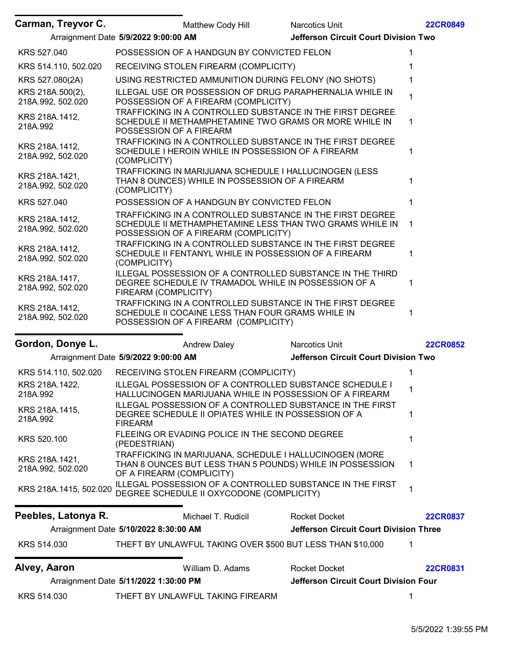| Carman, Treyvor C.                    | Matthew Cody Hill                                                                                                                                             | Narcotics Unit                                | <b>22CR0849</b> |
|---------------------------------------|---------------------------------------------------------------------------------------------------------------------------------------------------------------|-----------------------------------------------|-----------------|
|                                       | Arraignment Date 5/9/2022 9:00:00 AM                                                                                                                          | <b>Jefferson Circuit Court Division Two</b>   |                 |
| KRS 527.040                           | POSSESSION OF A HANDGUN BY CONVICTED FELON                                                                                                                    |                                               |                 |
| KRS 514.110, 502.020                  | RECEIVING STOLEN FIREARM (COMPLICITY)                                                                                                                         |                                               |                 |
| KRS 527.080(2A)                       | USING RESTRICTED AMMUNITION DURING FELONY (NO SHOTS)                                                                                                          |                                               |                 |
| KRS 218A.500(2),<br>218A.992, 502.020 | ILLEGAL USE OR POSSESSION OF DRUG PARAPHERNALIA WHILE IN<br>POSSESSION OF A FIREARM (COMPLICITY)                                                              |                                               |                 |
| KRS 218A.1412,<br>218A.992            | TRAFFICKING IN A CONTROLLED SUBSTANCE IN THE FIRST DEGREE<br>SCHEDULE II METHAMPHETAMINE TWO GRAMS OR MORE WHILE IN<br>POSSESSION OF A FIREARM                |                                               | 1.              |
| KRS 218A.1412,<br>218A.992, 502.020   | TRAFFICKING IN A CONTROLLED SUBSTANCE IN THE FIRST DEGREE<br>SCHEDULE I HEROIN WHILE IN POSSESSION OF A FIREARM<br>(COMPLICITY)                               |                                               |                 |
| KRS 218A.1421,<br>218A.992, 502.020   | TRAFFICKING IN MARIJUANA SCHEDULE I HALLUCINOGEN (LESS<br>THAN 8 OUNCES) WHILE IN POSSESSION OF A FIREARM<br>(COMPLICITY)                                     |                                               |                 |
| KRS 527.040                           | POSSESSION OF A HANDGUN BY CONVICTED FELON                                                                                                                    |                                               |                 |
| KRS 218A.1412,<br>218A.992, 502.020   | TRAFFICKING IN A CONTROLLED SUBSTANCE IN THE FIRST DEGREE<br>SCHEDULE II METHAMPHETAMINE LESS THAN TWO GRAMS WHILE IN<br>POSSESSION OF A FIREARM (COMPLICITY) |                                               | 1               |
| KRS 218A.1412,<br>218A.992, 502.020   | TRAFFICKING IN A CONTROLLED SUBSTANCE IN THE FIRST DEGREE<br>SCHEDULE II FENTANYL WHILE IN POSSESSION OF A FIREARM<br>(COMPLICITY)                            |                                               | 1               |
| KRS 218A.1417,<br>218A.992, 502.020   | ILLEGAL POSSESSION OF A CONTROLLED SUBSTANCE IN THE THIRD<br>DEGREE SCHEDULE IV TRAMADOL WHILE IN POSSESSION OF A<br>FIREARM (COMPLICITY)                     |                                               |                 |
| KRS 218A.1412,<br>218A.992, 502.020   | TRAFFICKING IN A CONTROLLED SUBSTANCE IN THE FIRST DEGREE<br>SCHEDULE II COCAINE LESS THAN FOUR GRAMS WHILE IN<br>POSSESSION OF A FIREARM (COMPLICITY)        |                                               |                 |
| Gordon, Donye L.                      | <b>Andrew Daley</b>                                                                                                                                           | Narcotics Unit                                | <b>22CR0852</b> |
|                                       | Arraignment Date 5/9/2022 9:00:00 AM                                                                                                                          | <b>Jefferson Circuit Court Division Two</b>   |                 |
| KRS 514.110, 502.020                  | RECEIVING STOLEN FIREARM (COMPLICITY)                                                                                                                         |                                               |                 |
| KRS 218A.1422,<br>218A.992            | ILLEGAL POSSESSION OF A CONTROLLED SUBSTANCE SCHEDULE I<br>HALLUCINOGEN MARIJUANA WHILE IN POSSESSION OF A FIREARM                                            |                                               |                 |
| KRS 218A.1415,<br>218A.992            | <b>ILLEGAL POSSESSION OF A CONTROLLED SUBSTANCE IN THE FIRST</b><br>DEGREE SCHEDULE II OPIATES WHILE IN POSSESSION OF A<br><b>FIREARM</b>                     |                                               | 1               |
| KRS 520.100                           | FLEEING OR EVADING POLICE IN THE SECOND DEGREE<br>(PEDESTRIAN)                                                                                                |                                               |                 |
| KRS 218A.1421,<br>218A.992, 502.020   | TRAFFICKING IN MARIJUANA, SCHEDULE I HALLUCINOGEN (MORE<br>THAN 8 OUNCES BUT LESS THAN 5 POUNDS) WHILE IN POSSESSION<br>OF A FIREARM (COMPLICITY)             |                                               | 1               |
| KRS 218A.1415, 502.020                | ILLEGAL POSSESSION OF A CONTROLLED SUBSTANCE IN THE FIRST<br>DEGREE SCHEDULE II OXYCODONE (COMPLICITY)                                                        |                                               | 1               |
| Peebles, Latonya R.                   | Michael T. Rudicil                                                                                                                                            | <b>Rocket Docket</b>                          | <b>22CR0837</b> |
|                                       | Arraignment Date 5/10/2022 8:30:00 AM                                                                                                                         | <b>Jefferson Circuit Court Division Three</b> |                 |
| KRS 514.030                           | THEFT BY UNLAWFUL TAKING OVER \$500 BUT LESS THAN \$10,000                                                                                                    |                                               | 1               |
| Alvey, Aaron                          | William D. Adams                                                                                                                                              | <b>Rocket Docket</b>                          | <b>22CR0831</b> |
|                                       | Arraignment Date 5/11/2022 1:30:00 PM                                                                                                                         | Jefferson Circuit Court Division Four         |                 |
| KRS 514.030                           | THEFT BY UNLAWFUL TAKING FIREARM                                                                                                                              |                                               | 1               |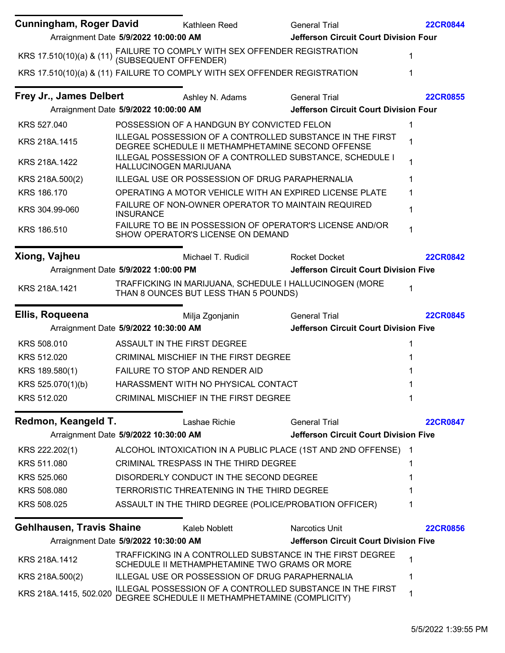| Cunningham, Roger David          | Kathleen Reed                                                                                                | <b>General Trial</b>                                            | <b>22CR0844</b> |
|----------------------------------|--------------------------------------------------------------------------------------------------------------|-----------------------------------------------------------------|-----------------|
|                                  | Arraignment Date 5/9/2022 10:00:00 AM                                                                        | Jefferson Circuit Court Division Four                           |                 |
|                                  | KRS 17.510(10)(a) & (11) FAILURE TO COMPLY WITH SEX OFFENDER REGISTRATION<br>(SUBSEQUENT OFFENDER)           |                                                                 | 1               |
|                                  | KRS 17.510(10)(a) & (11) FAILURE TO COMPLY WITH SEX OFFENDER REGISTRATION                                    |                                                                 | 1               |
| Frey Jr., James Delbert          | Ashley N. Adams                                                                                              | <b>General Trial</b>                                            | <b>22CR0855</b> |
|                                  | Arraignment Date 5/9/2022 10:00:00 AM                                                                        | Jefferson Circuit Court Division Four                           |                 |
| KRS 527.040                      | POSSESSION OF A HANDGUN BY CONVICTED FELON                                                                   |                                                                 | 1               |
| KRS 218A.1415                    | DEGREE SCHEDULE II METHAMPHETAMINE SECOND OFFENSE                                                            | ILLEGAL POSSESSION OF A CONTROLLED SUBSTANCE IN THE FIRST       | 1               |
| KRS 218A.1422                    | <b>HALLUCINOGEN MARIJUANA</b>                                                                                | <b>ILLEGAL POSSESSION OF A CONTROLLED SUBSTANCE, SCHEDULE I</b> | 1               |
| KRS 218A.500(2)                  | ILLEGAL USE OR POSSESSION OF DRUG PARAPHERNALIA                                                              |                                                                 | 1               |
| KRS 186.170                      |                                                                                                              | OPERATING A MOTOR VEHICLE WITH AN EXPIRED LICENSE PLATE         | 1               |
| KRS 304.99-060                   | FAILURE OF NON-OWNER OPERATOR TO MAINTAIN REQUIRED<br><b>INSURANCE</b>                                       |                                                                 | 1               |
| KRS 186.510                      | SHOW OPERATOR'S LICENSE ON DEMAND                                                                            | FAILURE TO BE IN POSSESSION OF OPERATOR'S LICENSE AND/OR        | 1               |
| Xiong, Vajheu                    | Michael T. Rudicil                                                                                           | <b>Rocket Docket</b>                                            | <b>22CR0842</b> |
|                                  | Arraignment Date 5/9/2022 1:00:00 PM                                                                         | <b>Jefferson Circuit Court Division Five</b>                    |                 |
| KRS 218A.1421                    | THAN 8 OUNCES BUT LESS THAN 5 POUNDS)                                                                        | TRAFFICKING IN MARIJUANA, SCHEDULE I HALLUCINOGEN (MORE         | 1               |
| Ellis, Roqueena                  | Milja Zgonjanin                                                                                              | <b>General Trial</b>                                            | <b>22CR0845</b> |
|                                  | Arraignment Date 5/9/2022 10:30:00 AM                                                                        | <b>Jefferson Circuit Court Division Five</b>                    |                 |
| KRS 508.010                      | ASSAULT IN THE FIRST DEGREE                                                                                  |                                                                 | 1               |
| KRS 512.020                      | <b>CRIMINAL MISCHIEF IN THE FIRST DEGREE</b>                                                                 |                                                                 |                 |
| KRS 189.580(1)                   | FAILURE TO STOP AND RENDER AID                                                                               |                                                                 |                 |
| KRS 525.070(1)(b)                | HARASSMENT WITH NO PHYSICAL CONTACT                                                                          |                                                                 |                 |
| KRS 512.020                      | <b>CRIMINAL MISCHIEF IN THE FIRST DEGREE</b>                                                                 |                                                                 |                 |
| Redmon, Keangeld T.              | Lashae Richie                                                                                                | <b>General Trial</b>                                            | <b>22CR0847</b> |
|                                  | Arraignment Date 5/9/2022 10:30:00 AM                                                                        | <b>Jefferson Circuit Court Division Five</b>                    |                 |
| KRS 222.202(1)                   | ALCOHOL INTOXICATION IN A PUBLIC PLACE (1ST AND 2ND OFFENSE)                                                 |                                                                 | -1              |
| KRS 511.080                      | <b>CRIMINAL TRESPASS IN THE THIRD DEGREE</b>                                                                 |                                                                 |                 |
| KRS 525.060                      | DISORDERLY CONDUCT IN THE SECOND DEGREE                                                                      |                                                                 |                 |
| KRS 508.080                      | TERRORISTIC THREATENING IN THE THIRD DEGREE                                                                  |                                                                 |                 |
| KRS 508.025                      | ASSAULT IN THE THIRD DEGREE (POLICE/PROBATION OFFICER)                                                       |                                                                 | 1               |
| <b>Gehlhausen, Travis Shaine</b> | Kaleb Noblett                                                                                                | Narcotics Unit                                                  | <b>22CR0856</b> |
|                                  | Arraignment Date 5/9/2022 10:30:00 AM                                                                        | <b>Jefferson Circuit Court Division Five</b>                    |                 |
| KRS 218A.1412                    | SCHEDULE II METHAMPHETAMINE TWO GRAMS OR MORE                                                                | TRAFFICKING IN A CONTROLLED SUBSTANCE IN THE FIRST DEGREE       | 1               |
| KRS 218A.500(2)                  | ILLEGAL USE OR POSSESSION OF DRUG PARAPHERNALIA                                                              |                                                                 | 1               |
| KRS 218A.1415, 502.020           | ILLEGAL POSSESSION OF A CONTROLLED SUBSTANCE IN THE FIRST<br>DEGREE SCHEDULE II METHAMPHETAMINE (COMPLICITY) |                                                                 | 1               |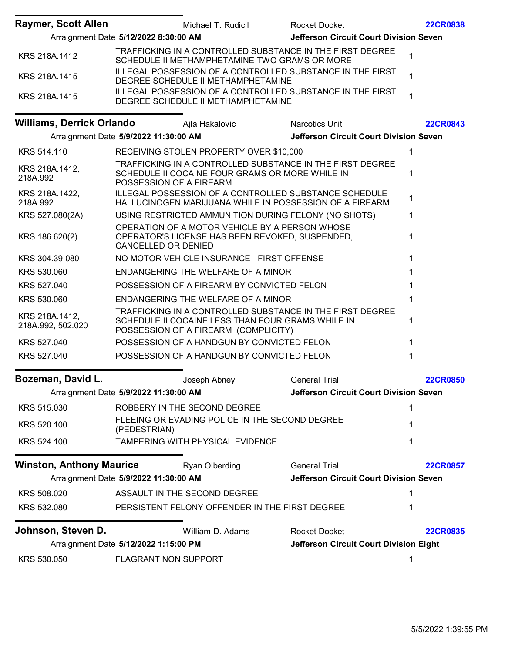| <b>Raymer, Scott Allen</b>          |                                       | Michael T. Rudicil                                                                                | <b>Rocket Docket</b>                                                                                                      | <b>22CR0838</b> |
|-------------------------------------|---------------------------------------|---------------------------------------------------------------------------------------------------|---------------------------------------------------------------------------------------------------------------------------|-----------------|
|                                     | Arraignment Date 5/12/2022 8:30:00 AM |                                                                                                   | <b>Jefferson Circuit Court Division Seven</b>                                                                             |                 |
| KRS 218A.1412                       |                                       | SCHEDULE II METHAMPHETAMINE TWO GRAMS OR MORE                                                     | TRAFFICKING IN A CONTROLLED SUBSTANCE IN THE FIRST DEGREE                                                                 | 1               |
| KRS 218A.1415                       |                                       | DEGREE SCHEDULE II METHAMPHETAMINE                                                                | <b>ILLEGAL POSSESSION OF A CONTROLLED SUBSTANCE IN THE FIRST</b>                                                          | 1               |
| KRS 218A.1415                       |                                       | DEGREE SCHEDULE II METHAMPHETAMINE                                                                | ILLEGAL POSSESSION OF A CONTROLLED SUBSTANCE IN THE FIRST                                                                 | 1               |
| <b>Williams, Derrick Orlando</b>    |                                       | Ajla Hakalovic                                                                                    | <b>Narcotics Unit</b>                                                                                                     | <b>22CR0843</b> |
|                                     | Arraignment Date 5/9/2022 11:30:00 AM |                                                                                                   | <b>Jefferson Circuit Court Division Seven</b>                                                                             |                 |
| KRS 514.110                         |                                       | RECEIVING STOLEN PROPERTY OVER \$10,000                                                           |                                                                                                                           | 1               |
| KRS 218A.1412,<br>218A.992          | POSSESSION OF A FIREARM               | SCHEDULE II COCAINE FOUR GRAMS OR MORE WHILE IN                                                   | TRAFFICKING IN A CONTROLLED SUBSTANCE IN THE FIRST DEGREE                                                                 | 1               |
| KRS 218A.1422,<br>218A.992          |                                       |                                                                                                   | <b>ILLEGAL POSSESSION OF A CONTROLLED SUBSTANCE SCHEDULE I</b><br>HALLUCINOGEN MARIJUANA WHILE IN POSSESSION OF A FIREARM | 1               |
| KRS 527.080(2A)                     |                                       | USING RESTRICTED AMMUNITION DURING FELONY (NO SHOTS)                                              |                                                                                                                           | 1               |
| KRS 186.620(2)                      | <b>CANCELLED OR DENIED</b>            | OPERATION OF A MOTOR VEHICLE BY A PERSON WHOSE<br>OPERATOR'S LICENSE HAS BEEN REVOKED, SUSPENDED, |                                                                                                                           | 1               |
| KRS 304.39-080                      |                                       | NO MOTOR VEHICLE INSURANCE - FIRST OFFENSE                                                        |                                                                                                                           | 1               |
| KRS 530.060                         |                                       | ENDANGERING THE WELFARE OF A MINOR                                                                |                                                                                                                           | 1               |
| KRS 527.040                         |                                       | POSSESSION OF A FIREARM BY CONVICTED FELON                                                        |                                                                                                                           | 1               |
| KRS 530.060                         |                                       | ENDANGERING THE WELFARE OF A MINOR                                                                |                                                                                                                           | 1               |
| KRS 218A.1412,<br>218A.992, 502.020 |                                       | SCHEDULE II COCAINE LESS THAN FOUR GRAMS WHILE IN<br>POSSESSION OF A FIREARM (COMPLICITY)         | TRAFFICKING IN A CONTROLLED SUBSTANCE IN THE FIRST DEGREE                                                                 | 1               |
| KRS 527.040                         |                                       | POSSESSION OF A HANDGUN BY CONVICTED FELON                                                        |                                                                                                                           | 1               |
| KRS 527.040                         |                                       | POSSESSION OF A HANDGUN BY CONVICTED FELON                                                        |                                                                                                                           | 1               |
| Bozeman, David L.                   |                                       | Joseph Abney                                                                                      | <b>General Trial</b>                                                                                                      | <b>22CR0850</b> |
|                                     | Arraignment Date 5/9/2022 11:30:00 AM |                                                                                                   | Jefferson Circuit Court Division Seven                                                                                    |                 |
| KRS 515.030                         |                                       | ROBBERY IN THE SECOND DEGREE                                                                      |                                                                                                                           | 1               |
| KRS 520.100                         | (PEDESTRIAN)                          | FLEEING OR EVADING POLICE IN THE SECOND DEGREE                                                    |                                                                                                                           | 1               |
| KRS 524.100                         |                                       | TAMPERING WITH PHYSICAL EVIDENCE                                                                  |                                                                                                                           | 1               |
| <b>Winston, Anthony Maurice</b>     |                                       | Ryan Olberding                                                                                    | <b>General Trial</b>                                                                                                      | <b>22CR0857</b> |
|                                     | Arraignment Date 5/9/2022 11:30:00 AM |                                                                                                   | <b>Jefferson Circuit Court Division Seven</b>                                                                             |                 |
| KRS 508.020                         |                                       | ASSAULT IN THE SECOND DEGREE                                                                      |                                                                                                                           | 1               |
| KRS 532.080                         |                                       | PERSISTENT FELONY OFFENDER IN THE FIRST DEGREE                                                    |                                                                                                                           | 1               |
| Johnson, Steven D.                  |                                       | William D. Adams                                                                                  | <b>Rocket Docket</b>                                                                                                      | <b>22CR0835</b> |
|                                     | Arraignment Date 5/12/2022 1:15:00 PM |                                                                                                   | Jefferson Circuit Court Division Eight                                                                                    |                 |
| KRS 530.050                         | <b>FLAGRANT NON SUPPORT</b>           |                                                                                                   |                                                                                                                           | 1               |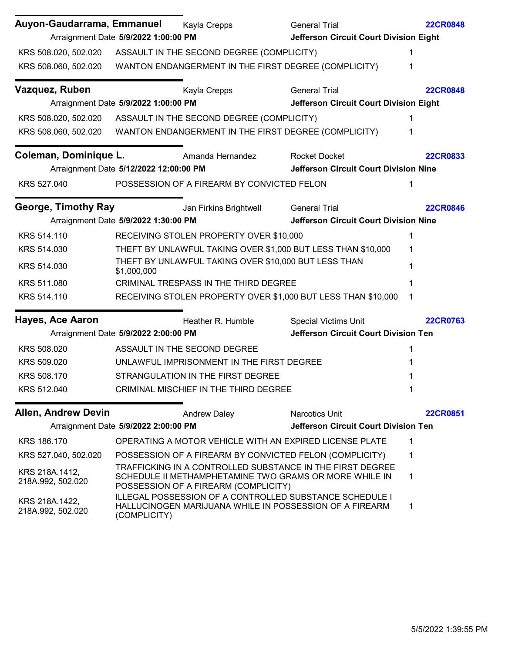| Auyon-Gaudarrama, Emmanuel          |                                        | Kayla Crepps                                                              | <b>General Trial</b>                                                                                                      | <b>22CR0848</b> |
|-------------------------------------|----------------------------------------|---------------------------------------------------------------------------|---------------------------------------------------------------------------------------------------------------------------|-----------------|
|                                     | Arraignment Date 5/9/2022 1:00:00 PM   |                                                                           | <b>Jefferson Circuit Court Division Eight</b>                                                                             |                 |
|                                     |                                        | KRS 508.020, 502.020 ASSAULT IN THE SECOND DEGREE (COMPLICITY)            |                                                                                                                           | 1               |
|                                     |                                        | KRS 508.060, 502.020 WANTON ENDANGERMENT IN THE FIRST DEGREE (COMPLICITY) |                                                                                                                           | 1               |
| Vazquez, Ruben                      |                                        | Kayla Crepps                                                              | <b>General Trial</b>                                                                                                      | <b>22CR0848</b> |
|                                     | Arraignment Date 5/9/2022 1:00:00 PM   |                                                                           | Jefferson Circuit Court Division Eight                                                                                    |                 |
|                                     |                                        | KRS 508.020, 502.020 ASSAULT IN THE SECOND DEGREE (COMPLICITY)            |                                                                                                                           | 1               |
|                                     |                                        | KRS 508.060, 502.020 WANTON ENDANGERMENT IN THE FIRST DEGREE (COMPLICITY) |                                                                                                                           | 1               |
| Coleman, Dominique L.               |                                        | Amanda Hernandez                                                          | <b>Rocket Docket</b>                                                                                                      | <b>22CR0833</b> |
|                                     | Arraignment Date 5/12/2022 12:00:00 PM |                                                                           | <b>Jefferson Circuit Court Division Nine</b>                                                                              |                 |
| KRS 527.040                         |                                        | POSSESSION OF A FIREARM BY CONVICTED FELON                                |                                                                                                                           | 1               |
| <b>George, Timothy Ray</b>          |                                        | Jan Firkins Brightwell                                                    | <b>General Trial</b>                                                                                                      | <b>22CR0846</b> |
|                                     | Arraignment Date 5/9/2022 1:30:00 PM   |                                                                           | <b>Jefferson Circuit Court Division Nine</b>                                                                              |                 |
| KRS 514.110                         |                                        | RECEIVING STOLEN PROPERTY OVER \$10,000                                   |                                                                                                                           | 1               |
| KRS 514.030                         |                                        |                                                                           | THEFT BY UNLAWFUL TAKING OVER \$1,000 BUT LESS THAN \$10,000                                                              | 1               |
| KRS 514.030                         | \$1,000,000                            | THEFT BY UNLAWFUL TAKING OVER \$10,000 BUT LESS THAN                      |                                                                                                                           |                 |
| KRS 511.080                         |                                        | <b>CRIMINAL TRESPASS IN THE THIRD DEGREE</b>                              |                                                                                                                           | 1               |
| KRS 514.110                         |                                        |                                                                           | RECEIVING STOLEN PROPERTY OVER \$1,000 BUT LESS THAN \$10,000                                                             | 1               |
| <b>Hayes, Ace Aaron</b>             |                                        | Heather R. Humble                                                         | <b>Special Victims Unit</b>                                                                                               | <b>22CR0763</b> |
|                                     | Arraignment Date 5/9/2022 2:00:00 PM   |                                                                           | <b>Jefferson Circuit Court Division Ten</b>                                                                               |                 |
| KRS 508.020                         |                                        | ASSAULT IN THE SECOND DEGREE                                              |                                                                                                                           | 1               |
| KRS 509.020                         |                                        | UNLAWFUL IMPRISONMENT IN THE FIRST DEGREE                                 |                                                                                                                           |                 |
| KRS 508.170                         |                                        | STRANGULATION IN THE FIRST DEGREE                                         |                                                                                                                           |                 |
| KRS 512.040                         |                                        | CRIMINAL MISCHIEF IN THE THIRD DEGREE                                     |                                                                                                                           | 1               |
| <b>Allen, Andrew Devin</b>          |                                        | <b>Andrew Daley</b>                                                       | <b>Narcotics Unit</b>                                                                                                     | <b>22CR0851</b> |
|                                     | Arraignment Date 5/9/2022 2:00:00 PM   |                                                                           | Jefferson Circuit Court Division Ten                                                                                      |                 |
| KRS 186.170                         |                                        |                                                                           | OPERATING A MOTOR VEHICLE WITH AN EXPIRED LICENSE PLATE                                                                   | 1               |
| KRS 527.040, 502.020                |                                        |                                                                           | POSSESSION OF A FIREARM BY CONVICTED FELON (COMPLICITY)                                                                   | 1               |
| KRS 218A.1412,<br>218A.992, 502.020 |                                        | POSSESSION OF A FIREARM (COMPLICITY)                                      | TRAFFICKING IN A CONTROLLED SUBSTANCE IN THE FIRST DEGREE<br>SCHEDULE II METHAMPHETAMINE TWO GRAMS OR MORE WHILE IN       | $\mathbf 1$     |
| KRS 218A.1422,<br>218A.992, 502.020 | (COMPLICITY)                           |                                                                           | <b>ILLEGAL POSSESSION OF A CONTROLLED SUBSTANCE SCHEDULE I</b><br>HALLUCINOGEN MARIJUANA WHILE IN POSSESSION OF A FIREARM | 1               |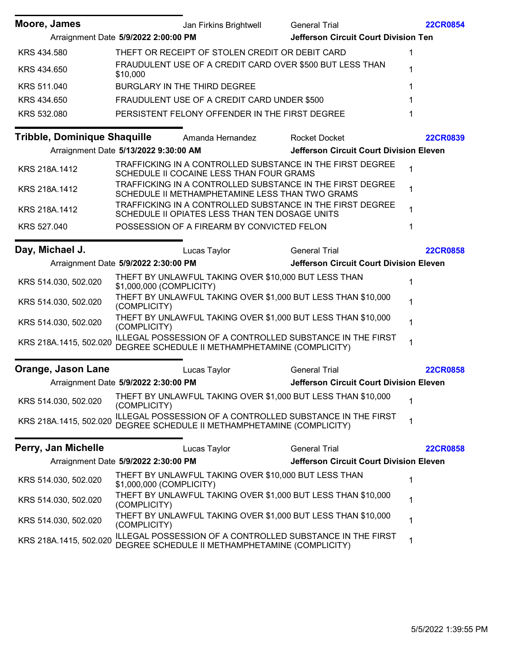| Moore, James           |                                       | Jan Firkins Brightwell                               | <b>General Trial</b>                                         | <b>22CR0854</b> |
|------------------------|---------------------------------------|------------------------------------------------------|--------------------------------------------------------------|-----------------|
|                        | Arraignment Date 5/9/2022 2:00:00 PM  |                                                      | Jefferson Circuit Court Division Ten                         |                 |
| KRS 434.580            |                                       | THEFT OR RECEIPT OF STOLEN CREDIT OR DEBIT CARD      |                                                              | 1               |
| KRS 434.650            | \$10,000                              |                                                      | FRAUDULENT USE OF A CREDIT CARD OVER \$500 BUT LESS THAN     | 1               |
| KRS 511.040            |                                       | BURGLARY IN THE THIRD DEGREE                         |                                                              | 1               |
| KRS 434.650            |                                       | FRAUDULENT USE OF A CREDIT CARD UNDER \$500          |                                                              |                 |
| KRS 532.080            |                                       | PERSISTENT FELONY OFFENDER IN THE FIRST DEGREE       |                                                              |                 |
|                        |                                       | Tribble, Dominique Shaquille Amanda Hernandez        | <b>Rocket Docket</b>                                         | <b>22CR0839</b> |
|                        | Arraignment Date 5/13/2022 9:30:00 AM |                                                      | <b>Jefferson Circuit Court Division Eleven</b>               |                 |
| KRS 218A.1412          |                                       | SCHEDULE II COCAINE LESS THAN FOUR GRAMS             | TRAFFICKING IN A CONTROLLED SUBSTANCE IN THE FIRST DEGREE    |                 |
| KRS 218A.1412          |                                       | SCHEDULE II METHAMPHETAMINE LESS THAN TWO GRAMS      | TRAFFICKING IN A CONTROLLED SUBSTANCE IN THE FIRST DEGREE    | 1               |
| KRS 218A.1412          |                                       | SCHEDULE II OPIATES LESS THAN TEN DOSAGE UNITS       | TRAFFICKING IN A CONTROLLED SUBSTANCE IN THE FIRST DEGREE    | 1               |
| KRS 527.040            |                                       | POSSESSION OF A FIREARM BY CONVICTED FELON           |                                                              | 1               |
| Day, Michael J.        |                                       | Lucas Taylor                                         | <b>General Trial</b>                                         | <b>22CR0858</b> |
|                        | Arraignment Date 5/9/2022 2:30:00 PM  |                                                      | <b>Jefferson Circuit Court Division Eleven</b>               |                 |
| KRS 514.030, 502.020   | \$1,000,000 (COMPLICITY)              | THEFT BY UNLAWFUL TAKING OVER \$10,000 BUT LESS THAN |                                                              | 1               |
| KRS 514.030, 502.020   | (COMPLICITY)                          |                                                      | THEFT BY UNLAWFUL TAKING OVER \$1,000 BUT LESS THAN \$10,000 | 1               |
| KRS 514.030, 502.020   | (COMPLICITY)                          |                                                      | THEFT BY UNLAWFUL TAKING OVER \$1,000 BUT LESS THAN \$10,000 | 1               |
| KRS 218A.1415, 502.020 |                                       | DEGREE SCHEDULE II METHAMPHETAMINE (COMPLICITY)      | ILLEGAL POSSESSION OF A CONTROLLED SUBSTANCE IN THE FIRST    | 1               |
| Orange, Jason Lane     |                                       | Lucas Taylor                                         | <b>General Trial</b>                                         | <b>22CR0858</b> |
|                        | Arraignment Date 5/9/2022 2:30:00 PM  |                                                      | <b>Jefferson Circuit Court Division Eleven</b>               |                 |
| KRS 514.030, 502.020   | (COMPLICITY)                          |                                                      | THEFT BY UNLAWFUL TAKING OVER \$1,000 BUT LESS THAN \$10,000 | 1               |
| KRS 218A.1415, 502.020 |                                       | DEGREE SCHEDULE II METHAMPHETAMINE (COMPLICITY)      | ILLEGAL POSSESSION OF A CONTROLLED SUBSTANCE IN THE FIRST    | 1               |
| Perry, Jan Michelle    |                                       | Lucas Taylor                                         | <b>General Trial</b>                                         | <b>22CR0858</b> |
|                        | Arraignment Date 5/9/2022 2:30:00 PM  |                                                      | <b>Jefferson Circuit Court Division Eleven</b>               |                 |
| KRS 514.030, 502.020   | \$1,000,000 (COMPLICITY)              | THEFT BY UNLAWFUL TAKING OVER \$10,000 BUT LESS THAN |                                                              | 1               |
| KRS 514.030, 502.020   | (COMPLICITY)                          |                                                      | THEFT BY UNLAWFUL TAKING OVER \$1,000 BUT LESS THAN \$10,000 | 1               |
| KRS 514.030, 502.020   | (COMPLICITY)                          |                                                      | THEFT BY UNLAWFUL TAKING OVER \$1,000 BUT LESS THAN \$10,000 | 1               |
| KRS 218A.1415, 502.020 |                                       | DEGREE SCHEDULE II METHAMPHETAMINE (COMPLICITY)      | ILLEGAL POSSESSION OF A CONTROLLED SUBSTANCE IN THE FIRST    | 1               |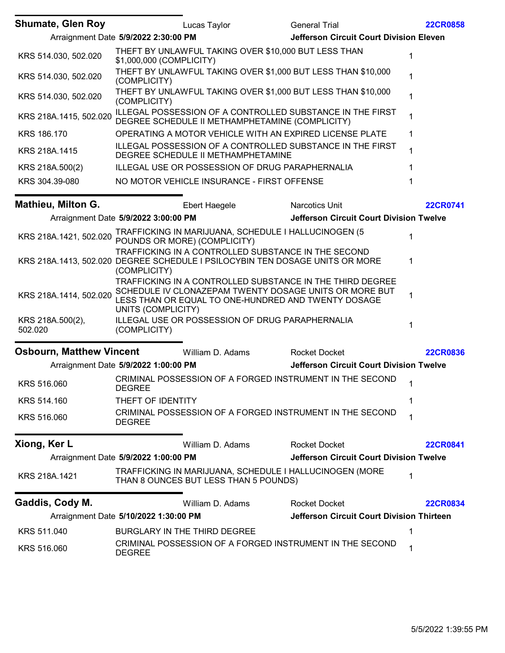| <b>Shumate, Glen Roy</b>    |                                       | Lucas Taylor                                                                                                                        | <b>General Trial</b>                                                                                                | <b>22CR0858</b> |
|-----------------------------|---------------------------------------|-------------------------------------------------------------------------------------------------------------------------------------|---------------------------------------------------------------------------------------------------------------------|-----------------|
|                             | Arraignment Date 5/9/2022 2:30:00 PM  |                                                                                                                                     | <b>Jefferson Circuit Court Division Eleven</b>                                                                      |                 |
| KRS 514.030, 502.020        | \$1,000,000 (COMPLICITY)              | THEFT BY UNLAWFUL TAKING OVER \$10,000 BUT LESS THAN                                                                                |                                                                                                                     | 1               |
| KRS 514.030, 502.020        | (COMPLICITY)                          | THEFT BY UNLAWFUL TAKING OVER \$1,000 BUT LESS THAN \$10,000                                                                        |                                                                                                                     | 1               |
| KRS 514.030, 502.020        | (COMPLICITY)                          | THEFT BY UNLAWFUL TAKING OVER \$1,000 BUT LESS THAN \$10,000                                                                        |                                                                                                                     | 1               |
| KRS 218A.1415, 502.020      |                                       | DEGREE SCHEDULE II METHAMPHETAMINE (COMPLICITY)                                                                                     | ILLEGAL POSSESSION OF A CONTROLLED SUBSTANCE IN THE FIRST                                                           | 1               |
| KRS 186.170                 |                                       | OPERATING A MOTOR VEHICLE WITH AN EXPIRED LICENSE PLATE                                                                             |                                                                                                                     | 1               |
| KRS 218A.1415               |                                       | DEGREE SCHEDULE II METHAMPHETAMINE                                                                                                  | ILLEGAL POSSESSION OF A CONTROLLED SUBSTANCE IN THE FIRST                                                           | 1               |
| KRS 218A.500(2)             |                                       | ILLEGAL USE OR POSSESSION OF DRUG PARAPHERNALIA                                                                                     |                                                                                                                     | 1               |
| KRS 304.39-080              |                                       | NO MOTOR VEHICLE INSURANCE - FIRST OFFENSE                                                                                          |                                                                                                                     | 1               |
| <b>Mathieu, Milton G.</b>   |                                       | Ebert Haegele                                                                                                                       | Narcotics Unit                                                                                                      | <b>22CR0741</b> |
|                             | Arraignment Date 5/9/2022 3:00:00 PM  |                                                                                                                                     | <b>Jefferson Circuit Court Division Twelve</b>                                                                      |                 |
| KRS 218A.1421, 502.020      |                                       | TRAFFICKING IN MARIJUANA, SCHEDULE I HALLUCINOGEN (5<br>POUNDS OR MORE) (COMPLICITY)                                                |                                                                                                                     | 1               |
|                             | (COMPLICITY)                          | TRAFFICKING IN A CONTROLLED SUBSTANCE IN THE SECOND<br>KRS 218A.1413, 502.020 DEGREE SCHEDULE I PSILOCYBIN TEN DOSAGE UNITS OR MORE |                                                                                                                     | 1               |
| KRS 218A.1414, 502.020      | UNITS (COMPLICITY)                    | LESS THAN OR EQUAL TO ONE-HUNDRED AND TWENTY DOSAGE                                                                                 | TRAFFICKING IN A CONTROLLED SUBSTANCE IN THE THIRD DEGREE<br>SCHEDULE IV CLONAZEPAM TWENTY DOSAGE UNITS OR MORE BUT | 1               |
| KRS 218A.500(2),<br>502.020 | (COMPLICITY)                          | ILLEGAL USE OR POSSESSION OF DRUG PARAPHERNALIA                                                                                     |                                                                                                                     | 1               |
| Osbourn, Matthew Vincent    |                                       | William D. Adams                                                                                                                    | <b>Rocket Docket</b>                                                                                                | <b>22CR0836</b> |
|                             | Arraignment Date 5/9/2022 1:00:00 PM  |                                                                                                                                     | <b>Jefferson Circuit Court Division Twelve</b>                                                                      |                 |
| KRS 516.060                 | <b>DEGREE</b>                         |                                                                                                                                     | CRIMINAL POSSESSION OF A FORGED INSTRUMENT IN THE SECOND                                                            | $\mathbf 1$     |
| KRS 514.160                 | THEFT OF IDENTITY                     |                                                                                                                                     |                                                                                                                     | 1               |
| KRS 516.060                 | <b>DEGREE</b>                         |                                                                                                                                     | CRIMINAL POSSESSION OF A FORGED INSTRUMENT IN THE SECOND                                                            | 1               |
| Xiong, Ker L                |                                       | William D. Adams                                                                                                                    | <b>Rocket Docket</b>                                                                                                | <b>22CR0841</b> |
|                             | Arraignment Date 5/9/2022 1:00:00 PM  |                                                                                                                                     | <b>Jefferson Circuit Court Division Twelve</b>                                                                      |                 |
| KRS 218A.1421               |                                       | TRAFFICKING IN MARIJUANA, SCHEDULE I HALLUCINOGEN (MORE<br>THAN 8 OUNCES BUT LESS THAN 5 POUNDS)                                    |                                                                                                                     | 1               |
| Gaddis, Cody M.             |                                       | William D. Adams                                                                                                                    | <b>Rocket Docket</b>                                                                                                | <b>22CR0834</b> |
|                             | Arraignment Date 5/10/2022 1:30:00 PM |                                                                                                                                     | <b>Jefferson Circuit Court Division Thirteen</b>                                                                    |                 |
| KRS 511.040                 |                                       | BURGLARY IN THE THIRD DEGREE                                                                                                        |                                                                                                                     | 1               |
| KRS 516.060                 | <b>DEGREE</b>                         |                                                                                                                                     | CRIMINAL POSSESSION OF A FORGED INSTRUMENT IN THE SECOND                                                            | 1               |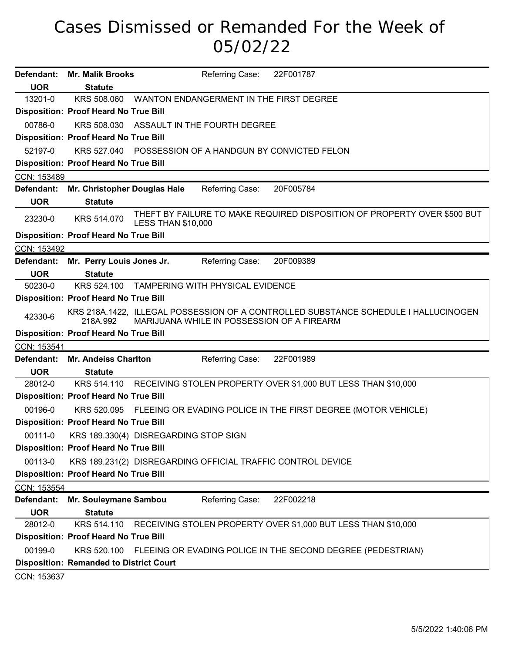## Cases Dismissed or Remanded For the Week of 05/02/22

|             | Defendant: Mr. Malik Brooks                    | Referring Case:<br>22F001787                                                                                                      |
|-------------|------------------------------------------------|-----------------------------------------------------------------------------------------------------------------------------------|
| <b>UOR</b>  | <b>Statute</b>                                 |                                                                                                                                   |
| 13201-0     |                                                | KRS 508.060 WANTON ENDANGERMENT IN THE FIRST DEGREE                                                                               |
|             | <b>Disposition: Proof Heard No True Bill</b>   |                                                                                                                                   |
| 00786-0     | KRS 508.030                                    | ASSAULT IN THE FOURTH DEGREE                                                                                                      |
|             | Disposition: Proof Heard No True Bill          |                                                                                                                                   |
| 52197-0     |                                                | KRS 527.040 POSSESSION OF A HANDGUN BY CONVICTED FELON                                                                            |
|             | Disposition: Proof Heard No True Bill          |                                                                                                                                   |
| CCN: 153489 |                                                |                                                                                                                                   |
|             | Defendant: Mr. Christopher Douglas Hale        | Referring Case:<br>20F005784                                                                                                      |
| <b>UOR</b>  | <b>Statute</b>                                 |                                                                                                                                   |
| 23230-0     | KRS 514.070                                    | THEFT BY FAILURE TO MAKE REQUIRED DISPOSITION OF PROPERTY OVER \$500 BUT<br><b>LESS THAN \$10,000</b>                             |
|             | <b>Disposition: Proof Heard No True Bill</b>   |                                                                                                                                   |
| CCN: 153492 |                                                |                                                                                                                                   |
|             | Defendant: Mr. Perry Louis Jones Jr.           | Referring Case:<br>20F009389                                                                                                      |
| <b>UOR</b>  | <b>Statute</b>                                 |                                                                                                                                   |
| 50230-0     |                                                | KRS 524.100 TAMPERING WITH PHYSICAL EVIDENCE                                                                                      |
|             | <b>Disposition: Proof Heard No True Bill</b>   |                                                                                                                                   |
| 42330-6     | 218A.992                                       | KRS 218A.1422, ILLEGAL POSSESSION OF A CONTROLLED SUBSTANCE SCHEDULE I HALLUCINOGEN<br>MARIJUANA WHILE IN POSSESSION OF A FIREARM |
|             | Disposition: Proof Heard No True Bill          |                                                                                                                                   |
| CCN: 153541 |                                                |                                                                                                                                   |
|             | Defendant: Mr. Andeiss Charlton                | Referring Case:<br>22F001989                                                                                                      |
| <b>UOR</b>  | <b>Statute</b>                                 |                                                                                                                                   |
| 28012-0     |                                                | KRS 514.110 RECEIVING STOLEN PROPERTY OVER \$1,000 BUT LESS THAN \$10,000                                                         |
|             | <b>Disposition: Proof Heard No True Bill</b>   |                                                                                                                                   |
| 00196-0     |                                                | KRS 520.095 FLEEING OR EVADING POLICE IN THE FIRST DEGREE (MOTOR VEHICLE)                                                         |
|             | Disposition: Proof Heard No True Bill          |                                                                                                                                   |
|             |                                                | 00111-0 KRS 189.330(4) DISREGARDING STOP SIGN                                                                                     |
|             | Disposition: Proof Heard No True Bill          |                                                                                                                                   |
| 00113-0     |                                                | KRS 189.231(2) DISREGARDING OFFICIAL TRAFFIC CONTROL DEVICE                                                                       |
|             | Disposition: Proof Heard No True Bill          |                                                                                                                                   |
| CCN: 153554 |                                                |                                                                                                                                   |
| Defendant:  | Mr. Souleymane Sambou                          | Referring Case:<br>22F002218                                                                                                      |
| <b>UOR</b>  | <b>Statute</b>                                 |                                                                                                                                   |
| 28012-0     | KRS 514.110                                    | RECEIVING STOLEN PROPERTY OVER \$1,000 BUT LESS THAN \$10,000                                                                     |
|             | Disposition: Proof Heard No True Bill          |                                                                                                                                   |
| 00199-0     | KRS 520.100                                    | FLEEING OR EVADING POLICE IN THE SECOND DEGREE (PEDESTRIAN)                                                                       |
|             | <b>Disposition: Remanded to District Court</b> |                                                                                                                                   |
| CCN: 153637 |                                                |                                                                                                                                   |